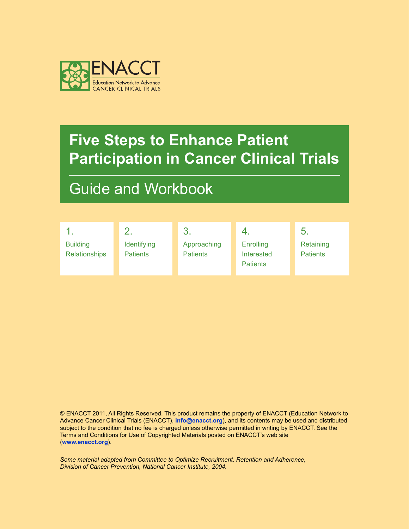

## Guide and Workbook

|                                         |                                | -3.                            |                                                   | 5.                           |
|-----------------------------------------|--------------------------------|--------------------------------|---------------------------------------------------|------------------------------|
| <b>Building</b><br><b>Relationships</b> | Identifying<br><b>Patients</b> | Approaching<br><b>Patients</b> | Enrolling<br><b>Interested</b><br><b>Patients</b> | Retaining<br><b>Patients</b> |

© ENACCT 2011, All Rights Reserved. This product remains the property of ENACCT (Education Network to Advance Cancer Clinical Trials (ENACCT), **[info@enacct.org](mailto:info%40enacct.org?subject=)**), and its contents may be used and distributed subject to the condition that no fee is charged unless otherwise permitted in writing by ENACCT. See the Terms and Conditions for Use of Copyrighted Materials posted on ENACCT's web site (**<www.enacct.org>**).

*Some material adapted from Committee to Optimize Recruitment, Retention and Adherence, Division of Cancer Prevention, National Cancer Institute, 2004.*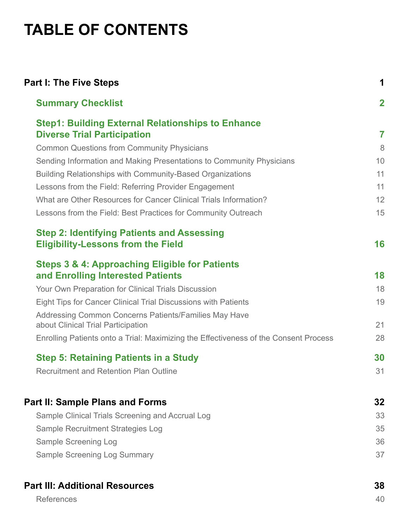# **Table of Contents**

| <b>Part I: The Five Steps</b>                                                                                              | 1              |
|----------------------------------------------------------------------------------------------------------------------------|----------------|
| <b>Summary Checklist</b>                                                                                                   | $\mathbf{2}$   |
| <b>Step1: Building External Relationships to Enhance</b>                                                                   |                |
| <b>Diverse Trial Participation</b>                                                                                         | $\overline{7}$ |
| <b>Common Questions from Community Physicians</b>                                                                          | 8              |
| Sending Information and Making Presentations to Community Physicians                                                       | 10             |
| <b>Building Relationships with Community-Based Organizations</b>                                                           | 11             |
| Lessons from the Field: Referring Provider Engagement                                                                      | 11             |
| What are Other Resources for Cancer Clinical Trials Information?                                                           | 12             |
| Lessons from the Field: Best Practices for Community Outreach                                                              | 15             |
| <b>Step 2: Identifying Patients and Assessing</b>                                                                          |                |
| <b>Eligibility-Lessons from the Field</b>                                                                                  | 16             |
| <b>Steps 3 &amp; 4: Approaching Eligible for Patients</b>                                                                  |                |
| and Enrolling Interested Patients                                                                                          | 18             |
| Your Own Preparation for Clinical Trials Discussion                                                                        | 18             |
| Eight Tips for Cancer Clinical Trial Discussions with Patients                                                             | 19             |
| Addressing Common Concerns Patients/Families May Have                                                                      | 21             |
| about Clinical Trial Participation<br>Enrolling Patients onto a Trial: Maximizing the Effectiveness of the Consent Process | 28             |
|                                                                                                                            |                |
| <b>Step 5: Retaining Patients in a Study</b>                                                                               | 30             |
| <b>Recruitment and Retention Plan Outline</b>                                                                              | 31             |
| <b>Part II: Sample Plans and Forms</b>                                                                                     | 32             |
| Sample Clinical Trials Screening and Accrual Log                                                                           | 33             |
| Sample Recruitment Strategies Log                                                                                          | 35             |
| Sample Screening Log                                                                                                       | 36             |
| <b>Sample Screening Log Summary</b>                                                                                        | 37             |
|                                                                                                                            |                |
| <b>Part III: Additional Resources</b>                                                                                      | 38             |
| <b>References</b>                                                                                                          | 40             |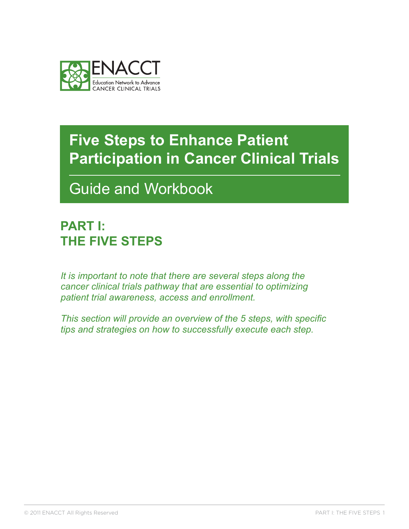<span id="page-2-0"></span>

Guide and Workbook

## **PART I: The Five Steps**

*It is important to note that there are several steps along the cancer clinical trials pathway that are essential to optimizing patient trial awareness, access and enrollment.* 

*This section will provide an overview of the 5 steps, with specific tips and strategies on how to successfully execute each step.*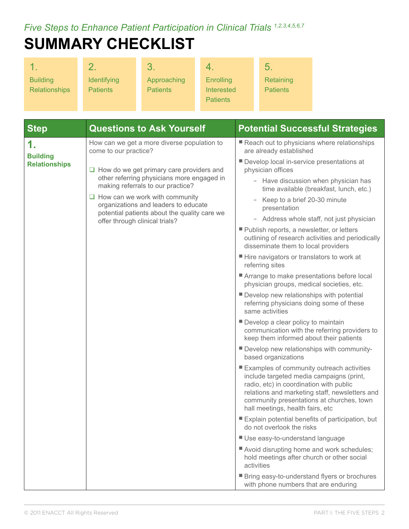<span id="page-3-0"></span>*Five Steps to Enhance Patient Participation in Clinical Trials 1,2,3,4,5,6,7* 

# **Summary Checklist**

|                      |                    | 3               |                   | 5.              |
|----------------------|--------------------|-----------------|-------------------|-----------------|
| <b>Building</b>      | <b>Identifying</b> | Approaching     | <b>Enrolling</b>  | Retaining       |
| <b>Relationships</b> | <b>Patients</b>    | <b>Patients</b> | <b>Interested</b> | <b>Patients</b> |
|                      |                    |                 | <b>Patients</b>   |                 |

| <b>Step</b>                             | <b>Questions to Ask Yourself</b>                                                                                                                                 | <b>Potential Successful Strategies</b>                                                                                                                                                                                                                                |
|-----------------------------------------|------------------------------------------------------------------------------------------------------------------------------------------------------------------|-----------------------------------------------------------------------------------------------------------------------------------------------------------------------------------------------------------------------------------------------------------------------|
| 1.                                      | How can we get a more diverse population to<br>come to our practice?                                                                                             | Reach out to physicians where relationships<br>are already established                                                                                                                                                                                                |
| <b>Building</b><br><b>Relationships</b> | $\Box$ How do we get primary care providers and                                                                                                                  | Develop local in-service presentations at<br>physician offices                                                                                                                                                                                                        |
|                                         | other referring physicians more engaged in<br>making referrals to our practice?<br>$\Box$ How can we work with community<br>organizations and leaders to educate | - Have discussion when physician has<br>time available (breakfast, lunch, etc.)                                                                                                                                                                                       |
|                                         |                                                                                                                                                                  | Keep to a brief 20-30 minute<br>presentation                                                                                                                                                                                                                          |
|                                         | potential patients about the quality care we<br>offer through clinical trials?                                                                                   | Address whole staff, not just physician                                                                                                                                                                                                                               |
|                                         |                                                                                                                                                                  | Publish reports, a newsletter, or letters<br>outlining of research activities and periodically<br>disseminate them to local providers                                                                                                                                 |
|                                         |                                                                                                                                                                  | ■ Hire navigators or translators to work at<br>referring sites                                                                                                                                                                                                        |
|                                         |                                                                                                                                                                  | Arrange to make presentations before local<br>physician groups, medical societies, etc.                                                                                                                                                                               |
|                                         |                                                                                                                                                                  | Develop new relationships with potential<br>referring physicians doing some of these<br>same activities                                                                                                                                                               |
|                                         |                                                                                                                                                                  | Develop a clear policy to maintain<br>communication with the referring providers to<br>keep them informed about their patients                                                                                                                                        |
|                                         |                                                                                                                                                                  | Develop new relationships with community-<br>based organizations                                                                                                                                                                                                      |
|                                         |                                                                                                                                                                  | ■ Examples of community outreach activities<br>include targeted media campaigns (print,<br>radio, etc) in coordination with public<br>relations and marketing staff, newsletters and<br>community presentations at churches, town<br>hall meetings, health fairs, etc |
|                                         |                                                                                                                                                                  | Explain potential benefits of participation, but<br>do not overlook the risks                                                                                                                                                                                         |
|                                         |                                                                                                                                                                  | Use easy-to-understand language                                                                                                                                                                                                                                       |
|                                         |                                                                                                                                                                  | Avoid disrupting home and work schedules;<br>hold meetings after church or other social<br>activities                                                                                                                                                                 |
|                                         |                                                                                                                                                                  | ■ Bring easy-to-understand flyers or brochures<br>with phone numbers that are enduring                                                                                                                                                                                |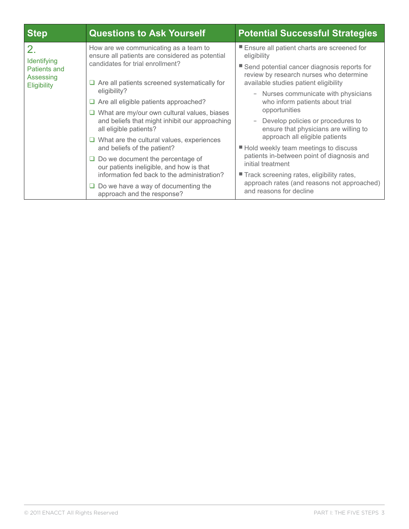| <b>Step</b>                                                   | <b>Questions to Ask Yourself</b>                                                                                                                                                                                                                                                                                                                                                                                                                                                                                                                                                                                                                                                           | <b>Potential Successful Strategies</b>                                                                                                                                                                                                                                                                                                                                                                                                                                                                                                                                                                                                         |  |
|---------------------------------------------------------------|--------------------------------------------------------------------------------------------------------------------------------------------------------------------------------------------------------------------------------------------------------------------------------------------------------------------------------------------------------------------------------------------------------------------------------------------------------------------------------------------------------------------------------------------------------------------------------------------------------------------------------------------------------------------------------------------|------------------------------------------------------------------------------------------------------------------------------------------------------------------------------------------------------------------------------------------------------------------------------------------------------------------------------------------------------------------------------------------------------------------------------------------------------------------------------------------------------------------------------------------------------------------------------------------------------------------------------------------------|--|
| 2.<br>Identifying<br>Patients and<br>Assessing<br>Eligibility | How are we communicating as a team to<br>ensure all patients are considered as potential<br>candidates for trial enrollment?<br>$\Box$ Are all patients screened systematically for<br>eligibility?<br>$\Box$ Are all eligible patients approached?<br>$\Box$ What are my/our own cultural values, biases<br>and beliefs that might inhibit our approaching<br>all eligible patients?<br>$\Box$ What are the cultural values, experiences<br>and beliefs of the patient?<br>$\Box$ Do we document the percentage of<br>our patients ineligible, and how is that<br>information fed back to the administration?<br>$\Box$ Do we have a way of documenting the<br>approach and the response? | Ensure all patient charts are screened for<br>eligibility<br>■ Send potential cancer diagnosis reports for<br>review by research nurses who determine<br>available studies patient eligibility<br>- Nurses communicate with physicians<br>who inform patients about trial<br>opportunities<br>Develop policies or procedures to<br>ensure that physicians are willing to<br>approach all eligible patients<br>■ Hold weekly team meetings to discuss<br>patients in-between point of diagnosis and<br>initial treatment<br>Track screening rates, eligibility rates,<br>approach rates (and reasons not approached)<br>and reasons for decline |  |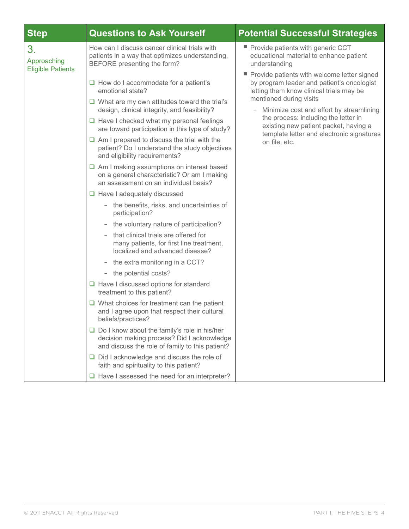| <b>Step</b>                                   | <b>Questions to Ask Yourself</b>                                                                                                                                                                                                                                                                                                                                                                                                                                                                                                                                                                                                                                                                                                                                                                                                                                                                                                                                                                                                                                                                                                                                                                                                                                                                                                                                                            | <b>Potential Successful Strategies</b>                                                                                                                                                                                                                                                                                                                           |  |  |
|-----------------------------------------------|---------------------------------------------------------------------------------------------------------------------------------------------------------------------------------------------------------------------------------------------------------------------------------------------------------------------------------------------------------------------------------------------------------------------------------------------------------------------------------------------------------------------------------------------------------------------------------------------------------------------------------------------------------------------------------------------------------------------------------------------------------------------------------------------------------------------------------------------------------------------------------------------------------------------------------------------------------------------------------------------------------------------------------------------------------------------------------------------------------------------------------------------------------------------------------------------------------------------------------------------------------------------------------------------------------------------------------------------------------------------------------------------|------------------------------------------------------------------------------------------------------------------------------------------------------------------------------------------------------------------------------------------------------------------------------------------------------------------------------------------------------------------|--|--|
| 3.<br>Approaching<br><b>Eligible Patients</b> | How can I discuss cancer clinical trials with<br>patients in a way that optimizes understanding,<br>BEFORE presenting the form?                                                                                                                                                                                                                                                                                                                                                                                                                                                                                                                                                                                                                                                                                                                                                                                                                                                                                                                                                                                                                                                                                                                                                                                                                                                             | Provide patients with generic CCT<br>educational material to enhance patient<br>understanding                                                                                                                                                                                                                                                                    |  |  |
|                                               | $\Box$ How do I accommodate for a patient's<br>emotional state?<br>$\Box$ What are my own attitudes toward the trial's<br>design, clinical integrity, and feasibility?<br>$\Box$ Have I checked what my personal feelings<br>are toward participation in this type of study?<br>$\Box$ Am I prepared to discuss the trial with the<br>patient? Do I understand the study objectives<br>and eligibility requirements?<br>$\Box$ Am I making assumptions on interest based<br>on a general characteristic? Or am I making<br>an assessment on an individual basis?<br>$\Box$ Have I adequately discussed<br>- the benefits, risks, and uncertainties of<br>participation?<br>the voluntary nature of participation?<br>- that clinical trials are offered for<br>many patients, for first line treatment,<br>localized and advanced disease?<br>the extra monitoring in a CCT?<br>$\qquad \qquad -$<br>- the potential costs?<br>$\Box$ Have I discussed options for standard<br>treatment to this patient?<br>$\Box$ What choices for treatment can the patient<br>and I agree upon that respect their cultural<br>beliefs/practices?<br>$\Box$ Do I know about the family's role in his/her<br>decision making process? Did I acknowledge<br>and discuss the role of family to this patient?<br>$\Box$ Did I acknowledge and discuss the role of<br>faith and spirituality to this patient? | Provide patients with welcome letter signed<br>by program leader and patient's oncologist<br>letting them know clinical trials may be<br>mentioned during visits<br>Minimize cost and effort by streamlining<br>-<br>the process: including the letter in<br>existing new patient packet, having a<br>template letter and electronic signatures<br>on file, etc. |  |  |
|                                               | $\Box$ Have I assessed the need for an interpreter?                                                                                                                                                                                                                                                                                                                                                                                                                                                                                                                                                                                                                                                                                                                                                                                                                                                                                                                                                                                                                                                                                                                                                                                                                                                                                                                                         |                                                                                                                                                                                                                                                                                                                                                                  |  |  |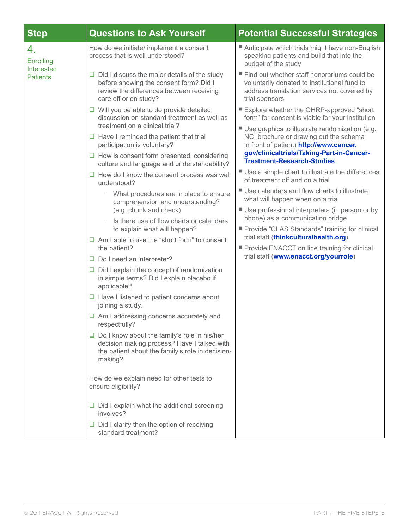| <b>Step</b>                                             | <b>Questions to Ask Yourself</b>                                                                                                                                                                                                                                                                                                                                                                                                                                                                                                                                                                                                                                                         | <b>Potential Successful Strategies</b>                                                                                                                                                                                                                                                                                                                                                                                                                                                                                                                                                                                                                                                                                                                                                |
|---------------------------------------------------------|------------------------------------------------------------------------------------------------------------------------------------------------------------------------------------------------------------------------------------------------------------------------------------------------------------------------------------------------------------------------------------------------------------------------------------------------------------------------------------------------------------------------------------------------------------------------------------------------------------------------------------------------------------------------------------------|---------------------------------------------------------------------------------------------------------------------------------------------------------------------------------------------------------------------------------------------------------------------------------------------------------------------------------------------------------------------------------------------------------------------------------------------------------------------------------------------------------------------------------------------------------------------------------------------------------------------------------------------------------------------------------------------------------------------------------------------------------------------------------------|
| 4.<br><b>Enrolling</b><br>Interested<br><b>Patients</b> | How do we initiate/ implement a consent<br>process that is well understood?                                                                                                                                                                                                                                                                                                                                                                                                                                                                                                                                                                                                              | Anticipate which trials might have non-English<br>speaking patients and build that into the<br>budget of the study                                                                                                                                                                                                                                                                                                                                                                                                                                                                                                                                                                                                                                                                    |
|                                                         | $\Box$ Did I discuss the major details of the study<br>before showing the consent form? Did I<br>review the differences between receiving<br>care off or on study?                                                                                                                                                                                                                                                                                                                                                                                                                                                                                                                       | ■ Find out whether staff honorariums could be<br>voluntarily donated to institutional fund to<br>address translation services not covered by<br>trial sponsors                                                                                                                                                                                                                                                                                                                                                                                                                                                                                                                                                                                                                        |
|                                                         | $\Box$ Will you be able to do provide detailed<br>discussion on standard treatment as well as<br>treatment on a clinical trial?<br>$\Box$ Have I reminded the patient that trial<br>participation is voluntary?<br>$\Box$ How is consent form presented, considering<br>culture and language and understandability?<br>$\Box$ How do I know the consent process was well<br>understood?<br>- What procedures are in place to ensure<br>comprehension and understanding?<br>(e.g. chunk and check)<br>Is there use of flow charts or calendars<br>to explain what will happen?<br>$\Box$ Am I able to use the "short form" to consent<br>the patient?<br>$\Box$ Do I need an interpreter? | ■ Explore whether the OHRP-approved "short<br>form" for consent is viable for your institution<br>■ Use graphics to illustrate randomization (e.g.<br>NCI brochure or drawing out the schema<br>in front of patient) http://www.cancer.<br>gov/clinicaltrials/Taking-Part-in-Cancer-<br><b>Treatment-Research-Studies</b><br>■ Use a simple chart to illustrate the differences<br>of treatment off and on a trial<br>■ Use calendars and flow charts to illustrate<br>what will happen when on a trial<br>■ Use professional interpreters (in person or by<br>phone) as a communication bridge<br>■ Provide "CLAS Standards" training for clinical<br>trial staff (thinkculturalhealth.org)<br>Provide ENACCT on line training for clinical<br>trial staff (www.enacct.org/yourrole) |
|                                                         | $\Box$ Did I explain the concept of randomization<br>in simple terms? Did I explain placebo if<br>applicable?<br>$\Box$ Have I listened to patient concerns about<br>joining a study.<br>$\Box$ Am I addressing concerns accurately and<br>respectfully?<br>$\Box$ Do I know about the family's role in his/her<br>decision making process? Have I talked with<br>the patient about the family's role in decision-<br>making?<br>How do we explain need for other tests to<br>ensure eligibility?<br>$\Box$ Did I explain what the additional screening<br>involves?<br>$\Box$ Did I clarify then the option of receiving<br>standard treatment?                                         |                                                                                                                                                                                                                                                                                                                                                                                                                                                                                                                                                                                                                                                                                                                                                                                       |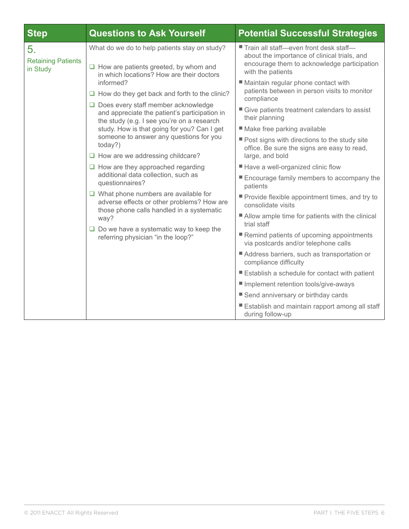| <b>Step</b>                                 | <b>Questions to Ask Yourself</b>                                                                                                                                                                                                                                                                                                                                                                                                                                                                                                                                                                                                                                                                                                                             | <b>Potential Successful Strategies</b>                                                                                                                                                                                                                                                                                                                                                                                                                                                                                                                                                                                                                          |
|---------------------------------------------|--------------------------------------------------------------------------------------------------------------------------------------------------------------------------------------------------------------------------------------------------------------------------------------------------------------------------------------------------------------------------------------------------------------------------------------------------------------------------------------------------------------------------------------------------------------------------------------------------------------------------------------------------------------------------------------------------------------------------------------------------------------|-----------------------------------------------------------------------------------------------------------------------------------------------------------------------------------------------------------------------------------------------------------------------------------------------------------------------------------------------------------------------------------------------------------------------------------------------------------------------------------------------------------------------------------------------------------------------------------------------------------------------------------------------------------------|
| 5.<br><b>Retaining Patients</b><br>in Study | What do we do to help patients stay on study?<br>$\Box$ How are patients greeted, by whom and<br>in which locations? How are their doctors<br>informed?<br>$\Box$ How do they get back and forth to the clinic?<br>$\Box$ Does every staff member acknowledge<br>and appreciate the patient's participation in<br>the study (e.g. I see you're on a research<br>study. How is that going for you? Can I get<br>someone to answer any questions for you<br>today?)<br>$\Box$ How are we addressing childcare?<br>$\Box$ How are they approached regarding<br>additional data collection, such as<br>questionnaires?<br>$\Box$ What phone numbers are available for<br>adverse effects or other problems? How are<br>those phone calls handled in a systematic | ■ Train all staff-even front desk staff-<br>about the importance of clinical trials, and<br>encourage them to acknowledge participation<br>with the patients<br>■ Maintain regular phone contact with<br>patients between in person visits to monitor<br>compliance<br>Give patients treatment calendars to assist<br>their planning<br>■ Make free parking available<br>Post signs with directions to the study site<br>office. Be sure the signs are easy to read,<br>large, and bold<br>■ Have a well-organized clinic flow<br>Encourage family members to accompany the<br>patients<br>Provide flexible appointment times, and try to<br>consolidate visits |
|                                             | way?<br>$\Box$ Do we have a systematic way to keep the<br>referring physician "in the loop?"                                                                                                                                                                                                                                                                                                                                                                                                                                                                                                                                                                                                                                                                 | ■ Allow ample time for patients with the clinical<br>trial staff<br>Remind patients of upcoming appointments<br>via postcards and/or telephone calls                                                                                                                                                                                                                                                                                                                                                                                                                                                                                                            |
|                                             |                                                                                                                                                                                                                                                                                                                                                                                                                                                                                                                                                                                                                                                                                                                                                              | Address barriers, such as transportation or<br>compliance difficulty                                                                                                                                                                                                                                                                                                                                                                                                                                                                                                                                                                                            |
|                                             |                                                                                                                                                                                                                                                                                                                                                                                                                                                                                                                                                                                                                                                                                                                                                              | Establish a schedule for contact with patient                                                                                                                                                                                                                                                                                                                                                                                                                                                                                                                                                                                                                   |
|                                             |                                                                                                                                                                                                                                                                                                                                                                                                                                                                                                                                                                                                                                                                                                                                                              | Implement retention tools/give-aways                                                                                                                                                                                                                                                                                                                                                                                                                                                                                                                                                                                                                            |
|                                             |                                                                                                                                                                                                                                                                                                                                                                                                                                                                                                                                                                                                                                                                                                                                                              | ■ Send anniversary or birthday cards                                                                                                                                                                                                                                                                                                                                                                                                                                                                                                                                                                                                                            |
|                                             |                                                                                                                                                                                                                                                                                                                                                                                                                                                                                                                                                                                                                                                                                                                                                              | ■ Establish and maintain rapport among all staff<br>during follow-up                                                                                                                                                                                                                                                                                                                                                                                                                                                                                                                                                                                            |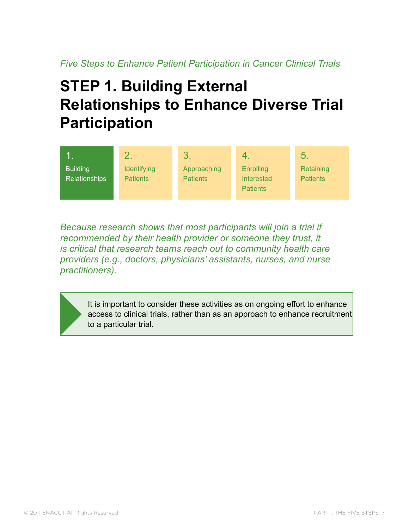# <span id="page-8-0"></span>**STEP 1. Building External Relationships to Enhance Diverse Trial Participation**



*Because research shows that most participants will join a trial if recommended by their health provider or someone they trust, it is critical that research teams reach out to community health care providers (e.g., doctors, physicians' assistants, nurses, and nurse practitioners).* 

It is important to consider these activities as on ongoing effort to enhance access to clinical trials, rather than as an approach to enhance recruitment to a particular trial.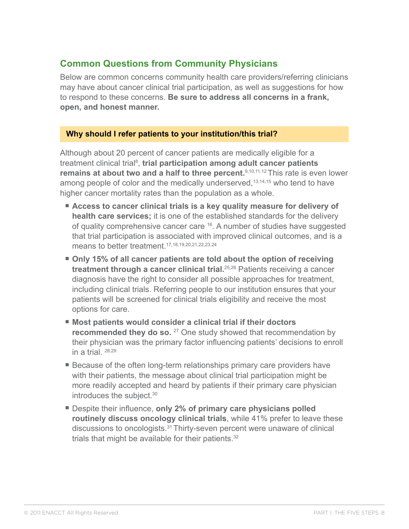## <span id="page-9-0"></span>**Common Questions from Community Physicians**

Below are common concerns community health care providers/referring clinicians may have about cancer clinical trial participation, as well as suggestions for how to respond to these concerns. **Be sure to address all concerns in a frank, open, and honest manner.** 

### **Why should I refer patients to your institution/this trial?**

Although about 20 percent of cancer patients are medically eligible for a treatment clinical trial<sup>8</sup>, t**rial participation among adult cancer patients remains at about two and a half to three percent.**9,10,11,12 This rate is even lower among people of color and the medically underserved,  $13,14,15$  who tend to have higher cancer mortality rates than the population as a whole.

- Access to cancer clinical trials is a key quality measure for delivery of **health care services;** it is one of the established standards for the delivery of quality comprehensive cancer care <sup>16</sup>. A number of studies have suggested that trial participation is associated with improved clinical outcomes, and is a means to better treatment.17,18,19,20,21,22,23,24
- Only 15% of all cancer patients are told about the option of receiving **treatment through a cancer clinical trial.**25,26 Patients receiving a cancer diagnosis have the right to consider all possible approaches for treatment, including clinical trials. Referring people to our institution ensures that your patients will be screened for clinical trials eligibility and receive the most options for care.
- Most patients would consider a clinical trial if their doctors **recommended they do so.** <sup>27</sup> One study showed that recommendation by their physician was the primary factor influencing patients' decisions to enroll in a trial.  $28,29$
- Because of the often long-term relationships primary care providers have with their patients, the message about clinical trial participation might be more readily accepted and heard by patients if their primary care physician introduces the subject.<sup>30</sup>
- Despite their influence, only 2% of primary care physicians polled **routinely discuss oncology clinical trials**, while 41% prefer to leave these discussions to oncologists.31 Thirty-seven percent were unaware of clinical trials that might be available for their patients.<sup>32</sup>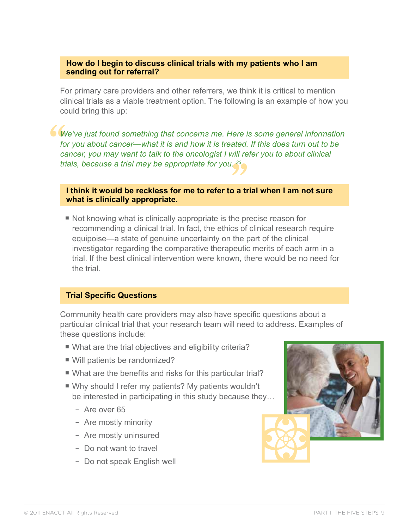#### **How do I begin to discuss clinical trials with my patients who I am sending out for referral?**

For primary care providers and other referrers, we think it is critical to mention clinical trials as a viable treatment option. The following is an example of how you could bring this up:

**"** *We've just found something that concerns me. Here is some general information*  for you about cancer—what it is and how it is treated. If this does turn out to be *cancer, you may want to talk to the oncologist I will refer you to about clinical trials, because a trial may be appropriate for you. 33*

rals, because a trial may be appropriate for you.<sup>33</sup><br><br>**I think it would be reckless for me to refer to a trial when I am not sure what is clinically appropriate.** 

■ Not knowing what is clinically appropriate is the precise reason for recommending a clinical trial. In fact, the ethics of clinical research require equipoise—a state of genuine uncertainty on the part of the clinical investigator regarding the comparative therapeutic merits of each arm in a trial. If the best clinical intervention were known, there would be no need for the trial.

#### **Trial Specific Questions**

Community health care providers may also have specific questions about a particular clinical trial that your research team will need to address. Examples of these questions include:

- What are the trial objectives and eligibility criteria?
- Will patients be randomized?
- What are the benefits and risks for this particular trial?
- Why should I refer my patients? My patients wouldn't be interested in participating in this study because they…
	- Are over 65
	- Are mostly minority
	- Are mostly uninsured
	- Do not want to travel
	- Do not speak English well

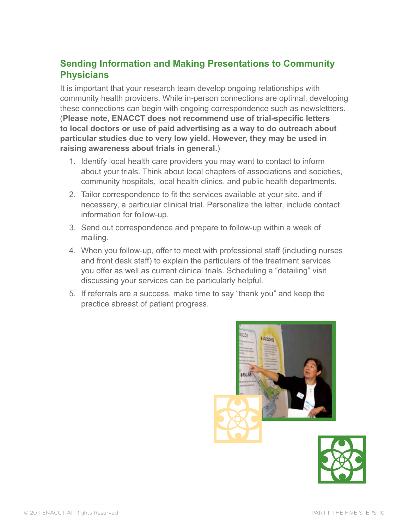## <span id="page-11-0"></span>**Sending Information and Making Presentations to Community Physicians**

It is important that your research team develop ongoing relationships with community health providers. While in-person connections are optimal, developing these connections can begin with ongoing correspondence such as newslettters. (**Please note, ENACCT does not recommend use of trial-specific letters to local doctors or use of paid advertising as a way to do outreach about particular studies due to very low yield. However, they may be used in raising awareness about trials in general.**)

- 1. Identify local health care providers you may want to contact to inform about your trials. Think about local chapters of associations and societies, community hospitals, local health clinics, and public health departments.
- 2. Tailor correspondence to fit the services available at your site, and if necessary, a particular clinical trial. Personalize the letter, include contact information for follow-up.
- 3. Send out correspondence and prepare to follow-up within a week of mailing.
- 4. When you follow-up, offer to meet with professional staff (including nurses and front desk staff) to explain the particulars of the treatment services you offer as well as current clinical trials. Scheduling a "detailing" visit discussing your services can be particularly helpful.
- 5. If referrals are a success, make time to say "thank you" and keep the practice abreast of patient progress.



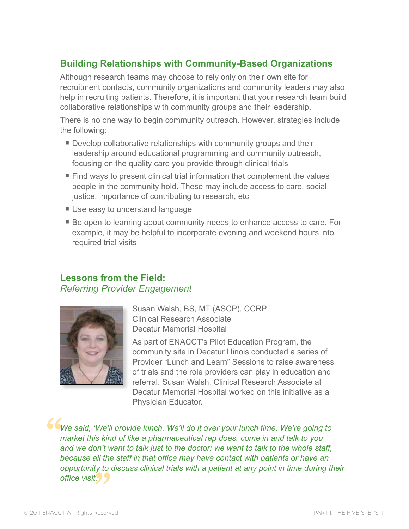## <span id="page-12-0"></span>**Building Relationships with Community-Based Organizations**

Although research teams may choose to rely only on their own site for recruitment contacts, community organizations and community leaders may also help in recruiting patients. Therefore, it is important that your research team build collaborative relationships with community groups and their leadership.

There is no one way to begin community outreach. However, strategies include the following:

- Develop collaborative relationships with community groups and their leadership around educational programming and community outreach, focusing on the quality care you provide through clinical trials
- Find ways to present clinical trial information that complement the values people in the community hold. These may include access to care, social justice, importance of contributing to research, etc
- Use easy to understand language
- Be open to learning about community needs to enhance access to care. For example, it may be helpful to incorporate evening and weekend hours into required trial visits

### **Lessons from the Field:**  *Referring Provider Engagement*



Susan Walsh, BS, MT (ASCP), CCRP Clinical Research Associate Decatur Memorial Hospital

As part of ENACCT's Pilot Education Program, the community site in Decatur Illinois conducted a series of Provider "Lunch and Learn" Sessions to raise awareness of trials and the role providers can play in education and referral. Susan Walsh, Clinical Research Associate at Decatur Memorial Hospital worked on this initiative as a Physician Educator.

**" "** *We said, 'We'll provide lunch. We'll do it over your lunch time. We're going to market this kind of like a pharmaceutical rep does, come in and talk to you and we don't want to talk just to the doctor; we want to talk to the whole staff, because all the staff in that office may have contact with patients or have an opportunity to discuss clinical trials with a patient at any point in time during their office visit.*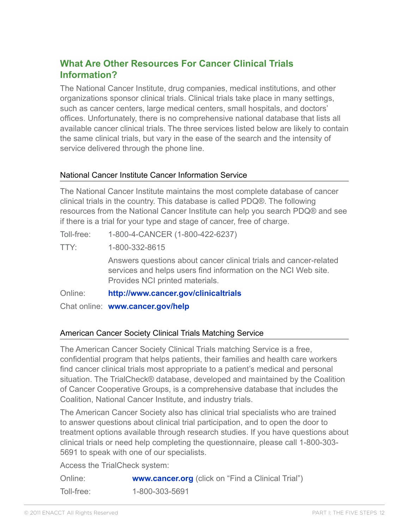## <span id="page-13-0"></span>**What Are Other Resources For Cancer Clinical Trials Information?**

The National Cancer Institute, drug companies, medical institutions, and other organizations sponsor clinical trials. Clinical trials take place in many settings, such as cancer centers, large medical centers, small hospitals, and doctors' offices. Unfortunately, there is no comprehensive national database that lists all available cancer clinical trials. The three services listed below are likely to contain the same clinical trials, but vary in the ease of the search and the intensity of service delivered through the phone line.

### National Cancer Institute Cancer Information Service

The National Cancer Institute maintains the most complete database of cancer clinical trials in the country. This database is called PDQ®. The following resources from the National Cancer Institute can help you search PDQ® and see if there is a trial for your type and stage of cancer, free of charge.

Toll-free: 1-800-4-CANCER (1-800-422-6237)

TTY: 1-800-332-8615

 Answers questions about cancer clinical trials and cancer-related services and helps users find information on the NCI Web site. Provides NCI printed materials.

Online: **<http://www.cancer.gov/clinicaltrials>**

Chat online: **<www.cancer.gov/help>**

### American Cancer Society Clinical Trials Matching Service

The American Cancer Society Clinical Trials matching Service is a free, confidential program that helps patients, their families and health care workers find cancer clinical trials most appropriate to a patient's medical and personal situation. The TrialCheck® database, developed and maintained by the Coalition of Cancer Cooperative Groups, is a comprehensive database that includes the Coalition, National Cancer Institute, and industry trials.

The American Cancer Society also has clinical trial specialists who are trained to answer questions about clinical trial participation, and to open the door to treatment options available through research studies. If you have questions about clinical trials or need help completing the questionnaire, please call 1-800-303- 5691 to speak with one of our specialists.

Access the TrialCheck system:

| Online:    | www.cancer.org (click on "Find a Clinical Trial") |
|------------|---------------------------------------------------|
| Toll-free: | 1-800-303-5691                                    |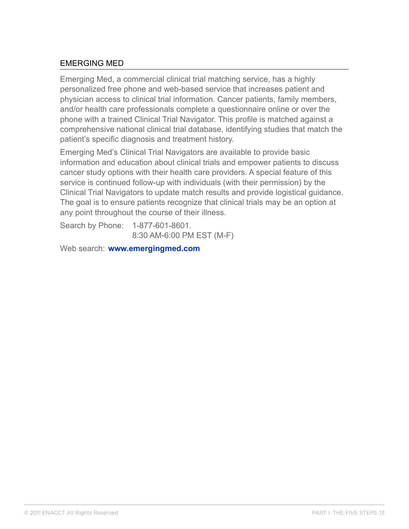### EMERGING MED

Emerging Med, a commercial clinical trial matching service, has a highly personalized free phone and web-based service that increases patient and physician access to clinical trial information. Cancer patients, family members, and/or health care professionals complete a questionnaire online or over the phone with a trained Clinical Trial Navigator. This profile is matched against a comprehensive national clinical trial database, identifying studies that match the patient's specific diagnosis and treatment history.

Emerging Med's Clinical Trial Navigators are available to provide basic information and education about clinical trials and empower patients to discuss cancer study options with their health care providers. A special feature of this service is continued follow-up with individuals (with their permission) by the Clinical Trial Navigators to update match results and provide logistical guidance. The goal is to ensure patients recognize that clinical trials may be an option at any point throughout the course of their illness.

Search by Phone: 1-877-601-8601. 8:30 AM-6:00 PM EST (M-F)

Web search: **<www.emergingmed.com>**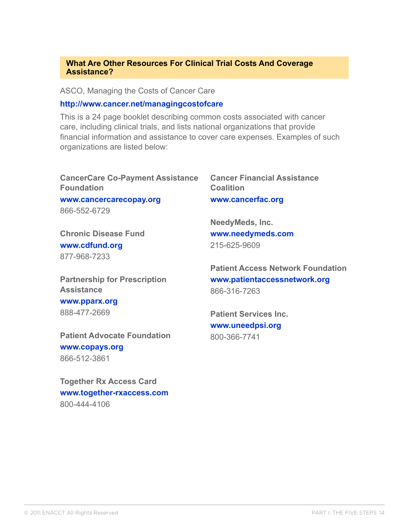#### **What Are Other Resources For Clinical Trial Costs And Coverage Assistance?**

ASCO, Managing the Costs of Cancer Care

#### **<http://www.cancer.net/managingcostofcare>**

This is a 24 page booklet describing common costs associated with cancer care, including clinical trials, and lists national organizations that provide financial information and assistance to cover care expenses. Examples of such organizations are listed below:

| <b>CancerCare Co-Payment Assistance</b><br><b>Foundation</b> | <b>Cancer Financial Assistance</b><br><b>Coalition</b> |
|--------------------------------------------------------------|--------------------------------------------------------|
| www.cancercarecopay.org                                      | www.cancerfac.org                                      |
| 866-552-6729                                                 |                                                        |
|                                                              | <b>NeedyMeds, Inc.</b>                                 |
| <b>Chronic Disease Fund</b>                                  | www.needymeds.com                                      |
| www.cdfund.org                                               | 215-625-9609                                           |
| 877-968-7233                                                 |                                                        |
|                                                              | <b>Patient Access Network Foundation</b>               |
| <b>Partnership for Prescription</b>                          | www.patientaccessnetwork.org                           |
| <b>Assistance</b>                                            | 866-316-7263                                           |

**<www.pparx.org>** 888-477-2669

**Patient Advocate Foundation <www.copays.org>** 866-512-3861

**Together Rx Access Card [www.together-rxaccess.com](http://www.together-rxaccess.com/)** 800-444-4106

**Patient Services Inc. <www.uneedpsi.org>** 800-366-7741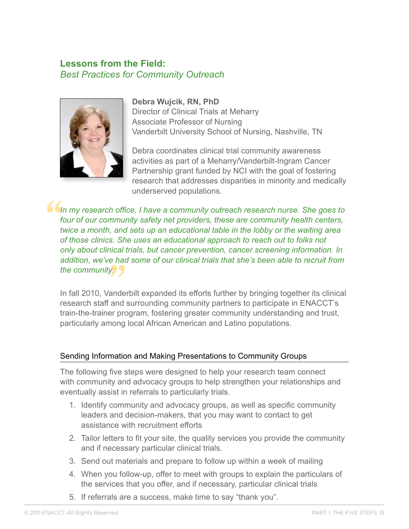### <span id="page-16-0"></span>**Lessons from the Field:**  *Best Practices for Community Outreach*



#### **Debra Wujcik, RN, PhD**

Director of Clinical Trials at Meharry Associate Professor of Nursing Vanderbilt University School of Nursing, Nashville, TN

Debra coordinates clinical trial community awareness activities as part of a Meharry/Vanderbilt-Ingram Cancer Partnership grant funded by NCI with the goal of fostering research that addresses disparities in minority and medically underserved populations.

**" "**<br>"<br>ande *In my research office, I have a community outreach research nurse. She goes to four of our community safety net providers, these are community health centers, twice a month, and sets up an educational table in the lobby or the waiting area of those clinics. She uses an educational approach to reach out to folks not only about clinical trials, but cancer prevention, cancer screening information. In addition, we've had some of our clinical trials that she's been able to recruit from the community.*

In fall 2010, Vanderbilt expanded its efforts further by bringing together its clinical research staff and surrounding community partners to participate in ENACCT's train-the-trainer program, fostering greater community understanding and trust, particularly among local African American and Latino populations.

### Sending Information and Making Presentations to Community Groups

The following five steps were designed to help your research team connect with community and advocacy groups to help strengthen your relationships and eventually assist in referrals to particularly trials.

- 1. Identify community and advocacy groups, as well as specific community leaders and decision-makers, that you may want to contact to get assistance with recruitment efforts
- 2. Tailor letters to fit your site, the quality services you provide the community and if necessary particular clinical trials.
- 3. Send out materials and prepare to follow up within a week of mailing
- 4. When you follow-up, offer to meet with groups to explain the particulars of the services that you offer, and if necessary, particular clinical trials
- 5. If referrals are a success, make time to say "thank you".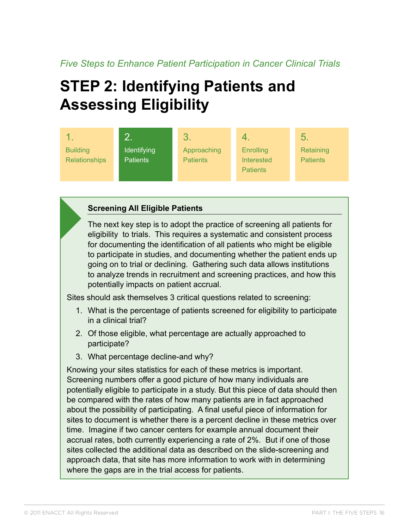# <span id="page-17-0"></span>**Step 2: Identifying Patients and Assessing Eligibility**



### **Screening All Eligible Patients**

The next key step is to adopt the practice of screening all patients for eligibility to trials. This requires a systematic and consistent process for documenting the identification of all patients who might be eligible to participate in studies, and documenting whether the patient ends up going on to trial or declining. Gathering such data allows institutions to analyze trends in recruitment and screening practices, and how this potentially impacts on patient accrual.

Sites should ask themselves 3 critical questions related to screening:

- 1. What is the percentage of patients screened for eligibility to participate in a clinical trial?
- 2. Of those eligible, what percentage are actually approached to participate?
- 3. What percentage decline-and why?

Knowing your sites statistics for each of these metrics is important. Screening numbers offer a good picture of how many individuals are potentially eligible to participate in a study. But this piece of data should then be compared with the rates of how many patients are in fact approached about the possibility of participating. A final useful piece of information for sites to document is whether there is a percent decline in these metrics over time. Imagine if two cancer centers for example annual document their accrual rates, both currently experiencing a rate of 2%. But if one of those sites collected the additional data as described on the slide-screening and approach data, that site has more information to work with in determining where the gaps are in the trial access for patients.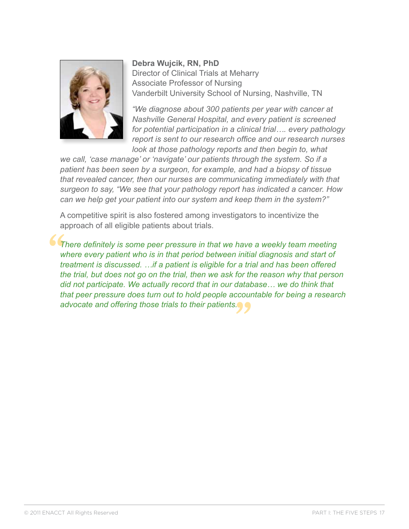

**Debra Wujcik, RN, PhD** Director of Clinical Trials at Meharry Associate Professor of Nursing Vanderbilt University School of Nursing, Nashville, TN

*"We diagnose about 300 patients per year with cancer at Nashville General Hospital, and every patient is screened for potential participation in a clinical trial…. every pathology report is sent to our research office and our research nurses look at those pathology reports and then begin to, what* 

*we call, 'case manage' or 'navigate' our patients through the system. So if a patient has been seen by a surgeon, for example, and had a biopsy of tissue that revealed cancer, then our nurses are communicating immediately with that surgeon to say, "We see that your pathology report has indicated a cancer. How can we help get your patient into our system and keep them in the system?"*

A competitive spirit is also fostered among investigators to incentivize the approach of all eligible patients about trials.

**"** *advocate and offering those trials to their patients.* **"** *There definitely is some peer pressure in that we have a weekly team meeting where every patient who is in that period between initial diagnosis and start of treatment is discussed. …if a patient is eligible for a trial and has been offered the trial, but does not go on the trial, then we ask for the reason why that person did not participate. We actually record that in our database… we do think that that peer pressure does turn out to hold people accountable for being a research*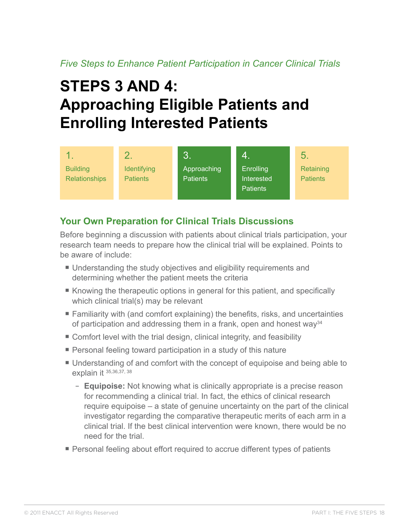# <span id="page-19-0"></span>**Steps 3 and 4: Approaching Eligible Patients and Enrolling Interested Patients**

|                                         |                                       | $\mathbf{3}.$                  | 4.                                         | 5.                           |
|-----------------------------------------|---------------------------------------|--------------------------------|--------------------------------------------|------------------------------|
| <b>Building</b><br><b>Relationships</b> | <b>Identifying</b><br><b>Patients</b> | Approaching<br><b>Patients</b> | Enrolling<br>Interested<br><b>Patients</b> | Retaining<br><b>Patients</b> |

## **Your Own Preparation for Clinical Trials Discussions**

Before beginning a discussion with patients about clinical trials participation, your research team needs to prepare how the clinical trial will be explained. Points to be aware of include:

- Understanding the study objectives and eligibility requirements and determining whether the patient meets the criteria
- Knowing the therapeutic options in general for this patient, and specifically which clinical trial(s) may be relevant
- Familiarity with (and comfort explaining) the benefits, risks, and uncertainties of participation and addressing them in a frank, open and honest way<sup>34</sup>
- Comfort level with the trial design, clinical integrity, and feasibility
- Personal feeling toward participation in a study of this nature
- Understanding of and comfort with the concept of equipoise and being able to explain it 35,36,37, 38
	- **Equipoise:** Not knowing what is clinically appropriate is a precise reason for recommending a clinical trial. In fact, the ethics of clinical research require equipoise – a state of genuine uncertainty on the part of the clinical investigator regarding the comparative therapeutic merits of each arm in a clinical trial. If the best clinical intervention were known, there would be no need for the trial.
- Personal feeling about effort required to accrue different types of patients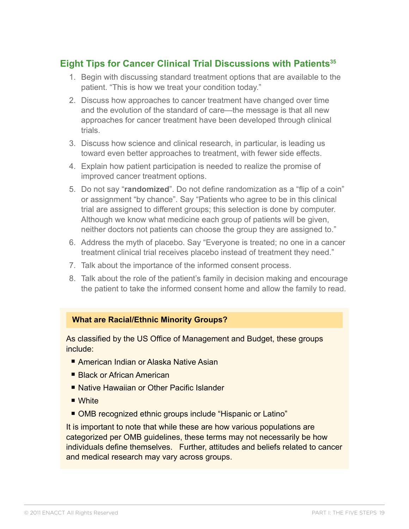## <span id="page-20-0"></span>**Eight Tips for Cancer Clinical Trial Discussions with Patients<sup>35</sup>**

- 1. Begin with discussing standard treatment options that are available to the patient. "This is how we treat your condition today."
- 2. Discuss how approaches to cancer treatment have changed over time and the evolution of the standard of care—the message is that all new approaches for cancer treatment have been developed through clinical trials.
- 3. Discuss how science and clinical research, in particular, is leading us toward even better approaches to treatment, with fewer side effects.
- 4. Explain how patient participation is needed to realize the promise of improved cancer treatment options.
- 5. Do not say "**randomized**". Do not define randomization as a "flip of a coin" or assignment "by chance". Say "Patients who agree to be in this clinical trial are assigned to different groups; this selection is done by computer. Although we know what medicine each group of patients will be given, neither doctors not patients can choose the group they are assigned to."
- 6. Address the myth of placebo. Say "Everyone is treated; no one in a cancer treatment clinical trial receives placebo instead of treatment they need."
- 7. Talk about the importance of the informed consent process.
- 8. Talk about the role of the patient's family in decision making and encourage the patient to take the informed consent home and allow the family to read.

#### **What are Racial/Ethnic Minority Groups?**

As classified by the US Office of Management and Budget, these groups include:

- American Indian or Alaska Native Asian
- Black or African American
- Native Hawaiian or Other Pacific Islander
- White
- OMB recognized ethnic groups include "Hispanic or Latino"

It is important to note that while these are how various populations are categorized per OMB guidelines, these terms may not necessarily be how individuals define themselves. Further, attitudes and beliefs related to cancer and medical research may vary across groups.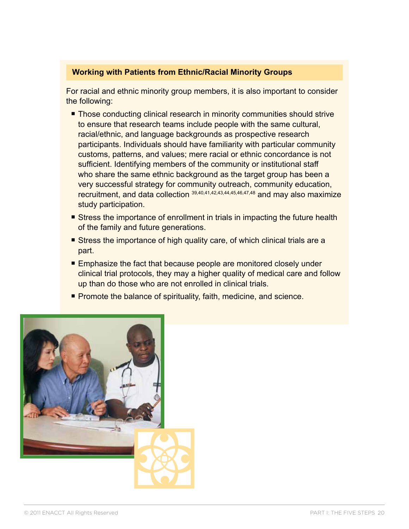#### **Working with Patients from Ethnic/Racial Minority Groups**

For racial and ethnic minority group members, it is also important to consider the following:

- Those conducting clinical research in minority communities should strive to ensure that research teams include people with the same cultural, racial/ethnic, and language backgrounds as prospective research participants. Individuals should have familiarity with particular community customs, patterns, and values; mere racial or ethnic concordance is not sufficient. Identifying members of the community or institutional staff who share the same ethnic background as the target group has been a very successful strategy for community outreach, community education, recruitment, and data collection 39,40,41,42,43,44,45,46,47,48 and may also maximize study participation.
- Stress the importance of enrollment in trials in impacting the future health of the family and future generations.
- Stress the importance of high quality care, of which clinical trials are a part.
- Emphasize the fact that because people are monitored closely under clinical trial protocols, they may a higher quality of medical care and follow up than do those who are not enrolled in clinical trials.
- Promote the balance of spirituality, faith, medicine, and science.

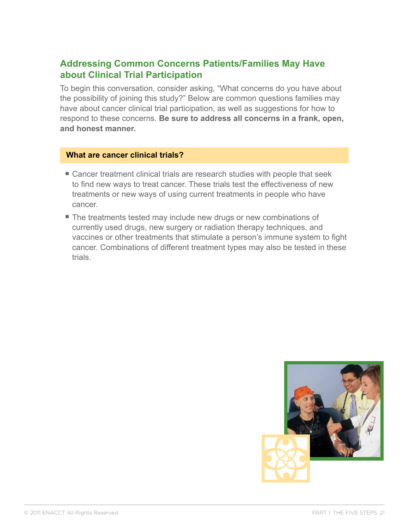## <span id="page-22-0"></span>**Addressing Common Concerns Patients/Families May Have about Clinical Trial Participation**

To begin this conversation, consider asking, "What concerns do you have about the possibility of joining this study?" Below are common questions families may have about cancer clinical trial participation, as well as suggestions for how to respond to these concerns. **Be sure to address all concerns in a frank, open, and honest manner.**

#### **What are cancer clinical trials?**

- Cancer treatment clinical trials are research studies with people that seek to find new ways to treat cancer. These trials test the effectiveness of new treatments or new ways of using current treatments in people who have cancer.
- The treatments tested may include new drugs or new combinations of currently used drugs, new surgery or radiation therapy techniques, and vaccines or other treatments that stimulate a person's immune system to fight cancer. Combinations of different treatment types may also be tested in these trials.

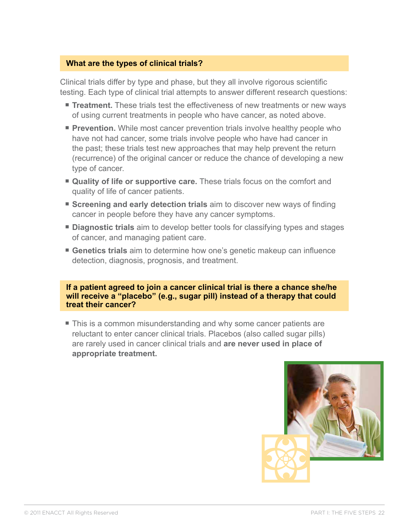### **What are the types of clinical trials?**

Clinical trials differ by type and phase, but they all involve rigorous scientific testing. Each type of clinical trial attempts to answer different research questions:

- **Treatment.** These trials test the effectiveness of new treatments or new ways of using current treatments in people who have cancer, as noted above.
- **Prevention.** While most cancer prevention trials involve healthy people who have not had cancer, some trials involve people who have had cancer in the past; these trials test new approaches that may help prevent the return (recurrence) of the original cancer or reduce the chance of developing a new type of cancer.
- **Quality of life or supportive care.** These trials focus on the comfort and quality of life of cancer patients.
- **Screening and early detection trials** aim to discover new ways of finding cancer in people before they have any cancer symptoms.
- **Diagnostic trials** aim to develop better tools for classifying types and stages of cancer, and managing patient care.
- Genetics trials aim to determine how one's genetic makeup can influence detection, diagnosis, prognosis, and treatment.

**If a patient agreed to join a cancer clinical trial is there a chance she/he will receive a "placebo" (e.g., sugar pill) instead of a therapy that could treat their cancer?**

■ This is a common misunderstanding and why some cancer patients are reluctant to enter cancer clinical trials. Placebos (also called sugar pills) are rarely used in cancer clinical trials and **are never used in place of appropriate treatment.** 

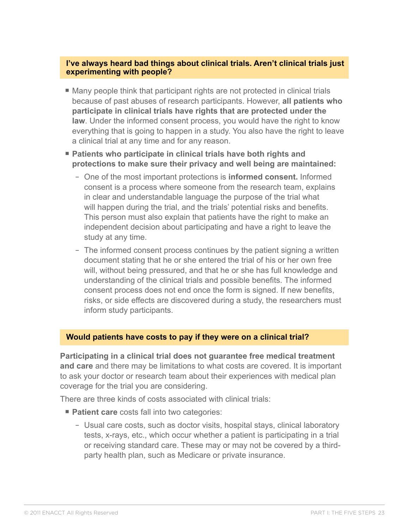#### **I've always heard bad things about clinical trials. Aren't clinical trials just experimenting with people?**

- Many people think that participant rights are not protected in clinical trials because of past abuses of research participants. However, **all patients who participate in clinical trials have rights that are protected under the law**. Under the informed consent process, you would have the right to know everything that is going to happen in a study. You also have the right to leave a clinical trial at any time and for any reason.
- Patients who participate in clinical trials have both rights and **protections to make sure their privacy and well being are maintained:**
	- One of the most important protections is **informed consent.** Informed consent is a process where someone from the research team, explains in clear and understandable language the purpose of the trial what will happen during the trial, and the trials' potential risks and benefits. This person must also explain that patients have the right to make an independent decision about participating and have a right to leave the study at any time.
	- The informed consent process continues by the patient signing a written document stating that he or she entered the trial of his or her own free will, without being pressured, and that he or she has full knowledge and understanding of the clinical trials and possible benefits. The informed consent process does not end once the form is signed. If new benefits, risks, or side effects are discovered during a study, the researchers must inform study participants.

#### **Would patients have costs to pay if they were on a clinical trial?**

**Participating in a clinical trial does not guarantee free medical treatment and care** and there may be limitations to what costs are covered. It is important to ask your doctor or research team about their experiences with medical plan coverage for the trial you are considering.

There are three kinds of costs associated with clinical trials:

- **Patient care** costs fall into two categories:
	- Usual care costs, such as doctor visits, hospital stays, clinical laboratory tests, x-rays, etc., which occur whether a patient is participating in a trial or receiving standard care. These may or may not be covered by a thirdparty health plan, such as Medicare or private insurance.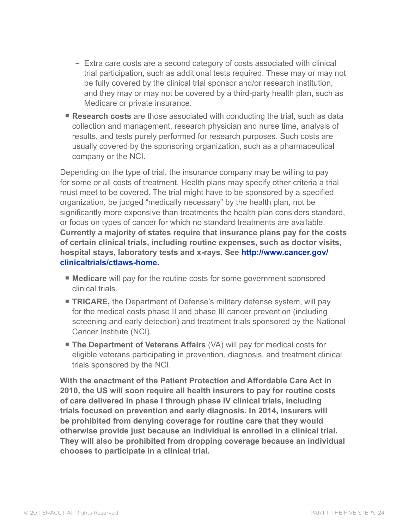- Extra care costs are a second category of costs associated with clinical trial participation, such as additional tests required. These may or may not be fully covered by the clinical trial sponsor and/or research institution, and they may or may not be covered by a third-party health plan, such as Medicare or private insurance.
- **Research costs** are those associated with conducting the trial, such as data collection and management, research physician and nurse time, analysis of results, and tests purely performed for research purposes. Such costs are usually covered by the sponsoring organization, such as a pharmaceutical company or the NCI.

Depending on the type of trial, the insurance company may be willing to pay for some or all costs of treatment. Health plans may specify other criteria a trial must meet to be covered. The trial might have to be sponsored by a specified organization, be judged "medically necessary" by the health plan, not be significantly more expensive than treatments the health plan considers standard, or focus on types of cancer for which no standard treatments are available. **Currently a majority of states require that insurance plans pay for the costs of certain clinical trials, including routine expenses, such as doctor visits, hospital stays, laboratory tests and x-rays. See [http://www.cancer.gov/](http://www.cancer.gov/clinicaltrials/ctlaws-home) [clinicaltrials/ctlaws-home](http://www.cancer.gov/clinicaltrials/ctlaws-home).**

- **Medicare** will pay for the routine costs for some government sponsored clinical trials.
- **TRICARE, the Department of Defense's military defense system, will pay** for the medical costs phase II and phase III cancer prevention (including screening and early detection) and treatment trials sponsored by the National Cancer Institute (NCI).
- **The Department of Veterans Affairs** (VA) will pay for medical costs for eligible veterans participating in prevention, diagnosis, and treatment clinical trials sponsored by the NCI.

**With the enactment of the Patient Protection and Affordable Care Act in 2010, the US will soon require all health insurers to pay for routine costs of care delivered in phase I through phase IV clinical trials, including trials focused on prevention and early diagnosis. In 2014, insurers will be prohibited from denying coverage for routine care that they would otherwise provide just because an individual is enrolled in a clinical trial. They will also be prohibited from dropping coverage because an individual chooses to participate in a clinical trial.**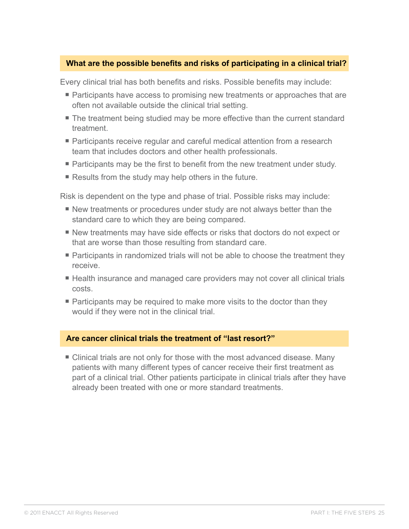### **What are the possible benefits and risks of participating in a clinical trial?**

Every clinical trial has both benefits and risks. Possible benefits may include:

- Participants have access to promising new treatments or approaches that are often not available outside the clinical trial setting.
- The treatment being studied may be more effective than the current standard treatment.
- Participants receive regular and careful medical attention from a research team that includes doctors and other health professionals.
- Participants may be the first to benefit from the new treatment under study.
- Results from the study may help others in the future.

Risk is dependent on the type and phase of trial. Possible risks may include:

- New treatments or procedures under study are not always better than the standard care to which they are being compared.
- New treatments may have side effects or risks that doctors do not expect or that are worse than those resulting from standard care.
- Participants in randomized trials will not be able to choose the treatment they receive.
- Health insurance and managed care providers may not cover all clinical trials costs.
- Participants may be required to make more visits to the doctor than they would if they were not in the clinical trial.

#### **Are cancer clinical trials the treatment of "last resort?"**

■ Clinical trials are not only for those with the most advanced disease. Many patients with many different types of cancer receive their first treatment as part of a clinical trial. Other patients participate in clinical trials after they have already been treated with one or more standard treatments.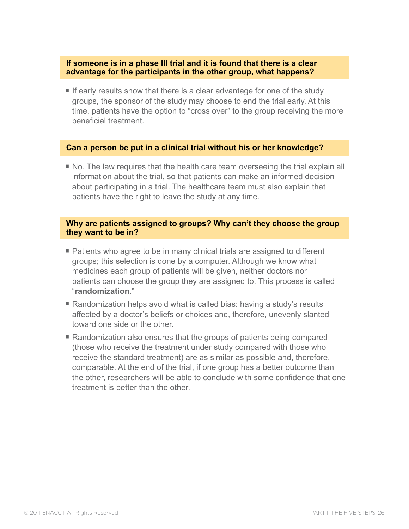#### **If someone is in a phase III trial and it is found that there is a clear advantage for the participants in the other group, what happens?**

■ If early results show that there is a clear advantage for one of the study groups, the sponsor of the study may choose to end the trial early. At this time, patients have the option to "cross over" to the group receiving the more beneficial treatment.

#### **Can a person be put in a clinical trial without his or her knowledge?**

■ No. The law requires that the health care team overseeing the trial explain all information about the trial, so that patients can make an informed decision about participating in a trial. The healthcare team must also explain that patients have the right to leave the study at any time.

#### **Why are patients assigned to groups? Why can't they choose the group they want to be in?**

- Patients who agree to be in many clinical trials are assigned to different groups; this selection is done by a computer. Although we know what medicines each group of patients will be given, neither doctors nor patients can choose the group they are assigned to. This process is called "**randomization**."
- Randomization helps avoid what is called bias: having a study's results affected by a doctor's beliefs or choices and, therefore, unevenly slanted toward one side or the other.
- Randomization also ensures that the groups of patients being compared (those who receive the treatment under study compared with those who receive the standard treatment) are as similar as possible and, therefore, comparable. At the end of the trial, if one group has a better outcome than the other, researchers will be able to conclude with some confidence that one treatment is better than the other.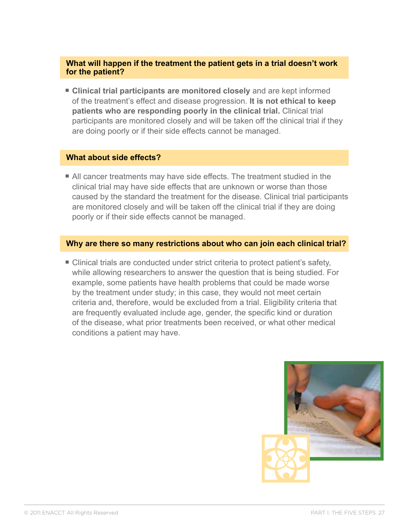### **What will happen if the treatment the patient gets in a trial doesn't work for the patient?**

■ Clinical trial participants are monitored closely and are kept informed of the treatment's effect and disease progression. **It is not ethical to keep patients who are responding poorly in the clinical trial.** Clinical trial participants are monitored closely and will be taken off the clinical trial if they are doing poorly or if their side effects cannot be managed.

#### **What about side effects?**

■ All cancer treatments may have side effects. The treatment studied in the clinical trial may have side effects that are unknown or worse than those caused by the standard the treatment for the disease. Clinical trial participants are monitored closely and will be taken off the clinical trial if they are doing poorly or if their side effects cannot be managed.

#### **Why are there so many restrictions about who can join each clinical trial?**

■ Clinical trials are conducted under strict criteria to protect patient's safety, while allowing researchers to answer the question that is being studied. For example, some patients have health problems that could be made worse by the treatment under study; in this case, they would not meet certain criteria and, therefore, would be excluded from a trial. Eligibility criteria that are frequently evaluated include age, gender, the specific kind or duration of the disease, what prior treatments been received, or what other medical conditions a patient may have.

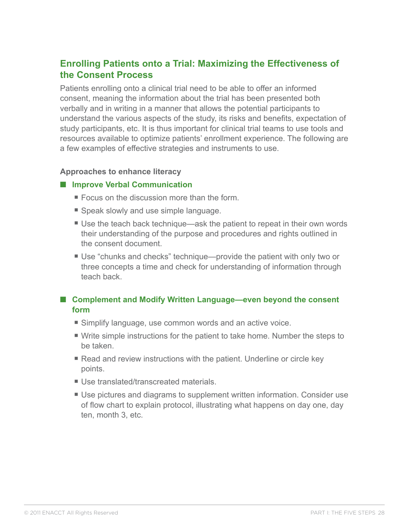## <span id="page-29-0"></span>**Enrolling Patients onto a Trial: Maximizing the Effectiveness of the Consent Process**

Patients enrolling onto a clinical trial need to be able to offer an informed consent, meaning the information about the trial has been presented both verbally and in writing in a manner that allows the potential participants to understand the various aspects of the study, its risks and benefits, expectation of study participants, etc. It is thus important for clinical trial teams to use tools and resources available to optimize patients' enrollment experience. The following are a few examples of effective strategies and instruments to use.

#### **Approaches to enhance literacy**

#### ■ **Improve Verbal Communication**

- $\blacksquare$  Focus on the discussion more than the form.
- Speak slowly and use simple language.
- Use the teach back technique—ask the patient to repeat in their own words their understanding of the purpose and procedures and rights outlined in the consent document.
- Use "chunks and checks" technique—provide the patient with only two or three concepts a time and check for understanding of information through teach back.

### ■ Complement and Modify Written Language—even beyond the consent **form**

- Simplify language, use common words and an active voice.
- § Write simple instructions for the patient to take home. Number the steps to be taken.
- Read and review instructions with the patient. Underline or circle key points.
- Use translated/transcreated materials.
- Use pictures and diagrams to supplement written information. Consider use of flow chart to explain protocol, illustrating what happens on day one, day ten, month 3, etc.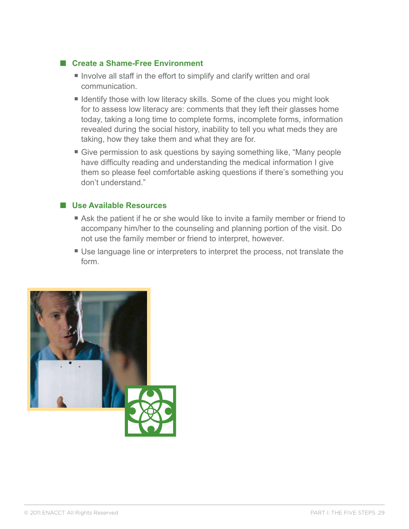### ■ **Create a Shame-Free Environment**

- Involve all staff in the effort to simplify and clarify written and oral communication.
- Identify those with low literacy skills. Some of the clues you might look for to assess low literacy are: comments that they left their glasses home today, taking a long time to complete forms, incomplete forms, information revealed during the social history, inability to tell you what meds they are taking, how they take them and what they are for.
- Give permission to ask questions by saying something like, "Many people have difficulty reading and understanding the medical information I give them so please feel comfortable asking questions if there's something you don't understand."

### ■ Use Available Resources

- Ask the patient if he or she would like to invite a family member or friend to accompany him/her to the counseling and planning portion of the visit. Do not use the family member or friend to interpret, however.
- Use language line or interpreters to interpret the process, not translate the form.

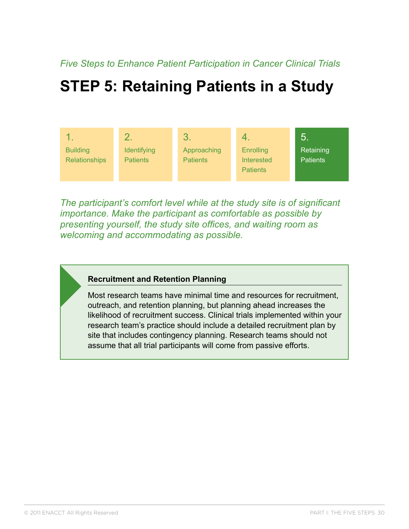## <span id="page-31-0"></span>**Step 5: Retaining Patients in a Study**



*The participant's comfort level while at the study site is of significant importance. Make the participant as comfortable as possible by presenting yourself, the study site offices, and waiting room as welcoming and accommodating as possible.* 

#### **Recruitment and Retention Planning**

Most research teams have minimal time and resources for recruitment, outreach, and retention planning, but planning ahead increases the likelihood of recruitment success. Clinical trials implemented within your research team's practice should include a detailed recruitment plan by site that includes contingency planning. Research teams should not assume that all trial participants will come from passive efforts.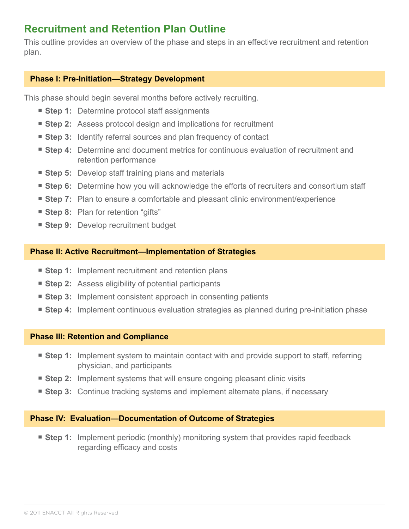## <span id="page-32-0"></span>**Recruitment and Retention Plan Outline**

This outline provides an overview of the phase and steps in an effective recruitment and retention plan.

### **Phase I: Pre-Initiation—Strategy Development**

This phase should begin several months before actively recruiting.

- **Step 1:** Determine protocol staff assignments
- **Step 2:** Assess protocol design and implications for recruitment
- Step 3: Identify referral sources and plan frequency of contact
- **Step 4:** Determine and document metrics for continuous evaluation of recruitment and retention performance
- **Step 5:** Develop staff training plans and materials
- Step 6: Determine how you will acknowledge the efforts of recruiters and consortium staff
- Step 7: Plan to ensure a comfortable and pleasant clinic environment/experience
- **Step 8:** Plan for retention "gifts"
- Step 9: Develop recruitment budget

#### **Phase II: Active Recruitment—Implementation of Strategies**

- Step 1: Implement recruitment and retention plans
- **Step 2:** Assess eligibility of potential participants
- **Step 3:** Implement consistent approach in consenting patients
- **Step 4:** Implement continuous evaluation strategies as planned during pre-initiation phase

#### **Phase III: Retention and Compliance**

- **Step 1:** Implement system to maintain contact with and provide support to staff, referring physician, and participants
- Step 2: Implement systems that will ensure ongoing pleasant clinic visits
- **Step 3:** Continue tracking systems and implement alternate plans, if necessary

#### **Phase IV: Evaluation—Documentation of Outcome of Strategies**

■ **Step 1:** Implement periodic (monthly) monitoring system that provides rapid feedback regarding efficacy and costs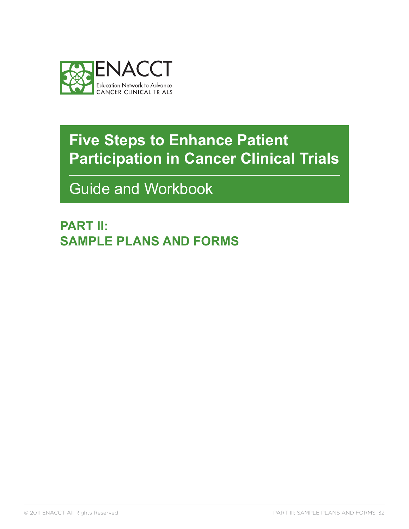<span id="page-33-0"></span>

Guide and Workbook

**PART II: Sample Plans and Forms**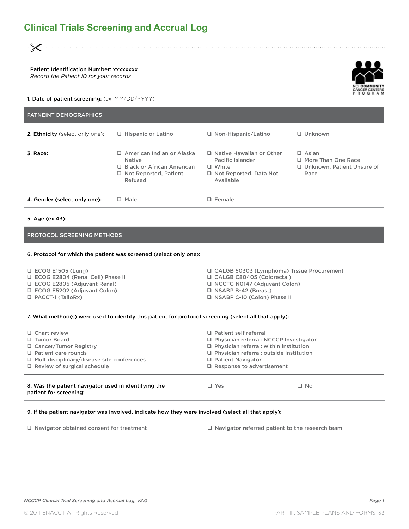<span id="page-34-0"></span>"

Patient Identification Number: xxxxxxxx *Record the Patient ID for your records*

#### 1. Date of patient screening: (ex. MM/DD/YYYY)

| <b>PATNEINT DEMOGRAPHICS</b>    |                                                                                                                             |                                                                                                                   |                                                                                   |
|---------------------------------|-----------------------------------------------------------------------------------------------------------------------------|-------------------------------------------------------------------------------------------------------------------|-----------------------------------------------------------------------------------|
| 2. Ethnicity (select only one): | $\Box$ Hispanic or Latino                                                                                                   | $\Box$ Non-Hispanic/Latino                                                                                        | $\Box$ Unknown                                                                    |
| 3. Race:                        | □ American Indian or Alaska<br><b>Native</b><br>$\Box$ Black or African American<br>$\Box$ Not Reported, Patient<br>Refused | $\Box$ Native Hawaiian or Other<br>Pacific Islander<br>$\Box$ White<br>$\Box$ Not Reported, Data Not<br>Available | $\Box$ Asian<br>$\Box$ More Than One Race<br>□ Unknown, Patient Unsure of<br>Race |
| 4. Gender (select only one):    | $\Box$ Male                                                                                                                 | $\Box$ Female                                                                                                     |                                                                                   |

#### 5. Age (ex.43):

#### PROTOCOL SCREENING METHODS

#### 6. Protocol for which the patient was screened (select only one):

| $\Box$ ECOG E1505 (Lung)           | □ CALGB 50303 (Lymphoma) Tissue Procurement |
|------------------------------------|---------------------------------------------|
| □ ECOG E2804 (Renal Cell) Phase II | CALGB C80405 (Colorectal)                   |
| □ ECOG E2805 (Adiuvant Renal)      | NCCTG N0147 (Adiuvant Colon)                |
| $\Box$ ECOG E5202 (Adjuvant Colon) | $\Box$ NSABP B-42 (Breast)                  |
| $\Box$ PACCT-1 (TailoRx)           | □ NSABP C-10 (Colon) Phase II               |

#### 7. What method(s) were used to identify this patient for protocol screening (select all that apply):

| $\Box$ Chart review                                                            | $\Box$ Patient self referral                   |              |  |
|--------------------------------------------------------------------------------|------------------------------------------------|--------------|--|
| □ Tumor Board                                                                  | □ Physician referral: NCCCP Investigator       |              |  |
| □ Cancer/Tumor Registry                                                        | $\Box$ Physician referral: within institution  |              |  |
| $\Box$ Patient care rounds                                                     | $\Box$ Physician referral: outside institution |              |  |
| □ Multidisciplinary/disease site conferences                                   | $\Box$ Patient Navigator                       |              |  |
| $\Box$ Review of surgical schedule                                             | $\Box$ Response to advertisement               |              |  |
| 8. Was the patient navigator used in identifying the<br>patient for screening: | $\Box$ Yes                                     | $\square$ No |  |

#### 9. If the patient navigator was involved, indicate how they were involved (select all that apply):

 $\Box$  Navigator obtained consent for treatment  $\Box$  Navigator referred patient to the research team

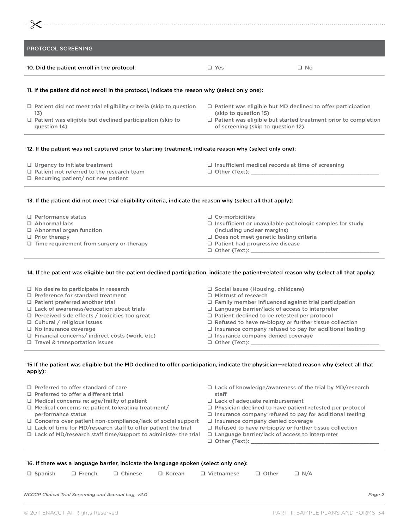| <b>PROTOCOL SCREENING</b>                                                                     |                       |                                                                    |
|-----------------------------------------------------------------------------------------------|-----------------------|--------------------------------------------------------------------|
| 10. Did the patient enroll in the protocol:                                                   | $\Box$ Yes            | $\Box$ No                                                          |
|                                                                                               |                       |                                                                    |
| 11. If the patient did not enroll in the protocol, indicate the reason why (select only one): |                       |                                                                    |
| $\Box$ Patient did not meet trial eligibility criteria (skip to question<br>13)               | (skip to question 15) | $\Box$ Patient was eligible but MD declined to offer participation |

- $\Box$  Urgency to initiate treatment
- $\Box$  Patient not referred to the research team
- $\square$  Recurring patient/ not new patient
- $\square$  Insufficient medical records at time of screening
- q Other (Text): \_\_\_\_\_\_\_\_\_\_\_\_\_\_\_\_\_\_\_\_\_\_\_\_\_\_\_\_\_\_\_\_\_\_\_\_\_\_\_\_
- 13. If the patient did not meet trial eligibility criteria, indicate the reason why (select all that apply):
- $\Box$  Performance status
- q Abnormal labs
- $\Box$  Abnormal organ function
- $\Box$  Prior therapy
- $\Box$  Time requirement from surgery or therapy
- $\Box$  Co-morbidities
- $\square$  Insufficient or unavailable pathologic samples for study (including unclear margins)
- $\Box$  Does not meet genetic testing criteria
- $\Box$  Patient had progressive disease
- $\Box$  Other (Text):  $\_$

#### 14. If the patient was eligible but the patient declined participation, indicate the patient-related reason why (select all that apply):

| $\Box$ No desire to participate in research<br>$\Box$ Preference for standard treatment<br>$\Box$ Patient preferred another trial<br>$\Box$ Lack of awareness/education about trials<br>$\Box$ Perceived side effects / toxicities too great<br>$\Box$ Cultural / religious issues | $\Box$ Social issues (Housing, childcare)<br>$\Box$ Mistrust of research<br>$\Box$ Family member influenced against trial participation<br>$\Box$ Language barrier/lack of access to interpreter<br>$\Box$ Patient declined to be retested per protocol<br>$\Box$ Refused to have re-biopsy or further tissue collection |
|------------------------------------------------------------------------------------------------------------------------------------------------------------------------------------------------------------------------------------------------------------------------------------|--------------------------------------------------------------------------------------------------------------------------------------------------------------------------------------------------------------------------------------------------------------------------------------------------------------------------|
| $\Box$ No insurance coverage                                                                                                                                                                                                                                                       | $\Box$ Insurance company refused to pay for additional testing                                                                                                                                                                                                                                                           |
| $\Box$ Financial concerns/ indirect costs (work, etc)                                                                                                                                                                                                                              | $\Box$ Insurance company denied coverage                                                                                                                                                                                                                                                                                 |
| $\Box$ Travel & transportation issues                                                                                                                                                                                                                                              |                                                                                                                                                                                                                                                                                                                          |

#### 15 If the patient was eligible but the MD declined to offer participation, indicate the physician—related reason why (select all that apply):

| $\Box$ Preferred to offer standard of care                                                                                                                                                                          | $\Box$ Lack of knowledge/awareness of the trial by MD/research                                                                                                     |
|---------------------------------------------------------------------------------------------------------------------------------------------------------------------------------------------------------------------|--------------------------------------------------------------------------------------------------------------------------------------------------------------------|
| $\Box$ Preferred to offer a different trial                                                                                                                                                                         | staff                                                                                                                                                              |
| $\Box$ Medical concerns re: age/frailty of patient                                                                                                                                                                  | $\Box$ Lack of adequate reimbursement                                                                                                                              |
| $\Box$ Medical concerns re: patient tolerating treatment/                                                                                                                                                           | $\Box$ Physician declined to have patient retested per protocol                                                                                                    |
| performance status                                                                                                                                                                                                  | $\Box$ Insurance company refused to pay for additional testing                                                                                                     |
| $\Box$ Concerns over patient non-compliance/lack of social support<br>$\Box$ Lack of time for MD/research staff to offer patient the trial<br>$\Box$ Lack of MD/research staff time/support to administer the trial | $\Box$ Insurance company denied coverage<br>$\Box$ Refused to have re-biopsy or further tissue collection<br>$\Box$ Language barrier/lack of access to interpreter |

#### 16. If there was a language barrier, indicate the language spoken (select only one):

|  |  | □ Spanish □ French □ Chinese □ Korean □ Vietnamese □ Other □ N/A |  |
|--|--|------------------------------------------------------------------|--|
|  |  |                                                                  |  |

*NCCCP Clinical Trial Screening and Accrual Log, v2.0 Page 2*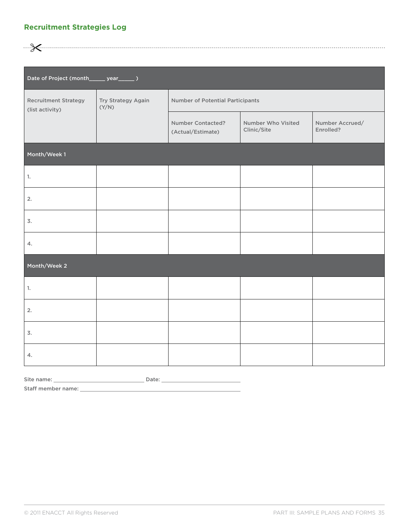#### <span id="page-36-0"></span>**Recruitment Strategies Log**

"

| Date of Project (month______ year______ )      |                             |                                               |                                   |                              |  |  |
|------------------------------------------------|-----------------------------|-----------------------------------------------|-----------------------------------|------------------------------|--|--|
| <b>Recruitment Strategy</b><br>(list activity) | Try Strategy Again<br>(Y/N) | <b>Number of Potential Participants</b>       |                                   |                              |  |  |
|                                                |                             | <b>Number Contacted?</b><br>(Actual/Estimate) | Number Who Visited<br>Clinic/Site | Number Accrued/<br>Enrolled? |  |  |
| Month/Week 1                                   |                             |                                               |                                   |                              |  |  |
| 1.                                             |                             |                                               |                                   |                              |  |  |
| 2.                                             |                             |                                               |                                   |                              |  |  |
| 3.                                             |                             |                                               |                                   |                              |  |  |
| 4.                                             |                             |                                               |                                   |                              |  |  |
| Month/Week 2                                   |                             |                                               |                                   |                              |  |  |
| 1.                                             |                             |                                               |                                   |                              |  |  |
| 2.                                             |                             |                                               |                                   |                              |  |  |
| 3.                                             |                             |                                               |                                   |                              |  |  |
| 4.                                             |                             |                                               |                                   |                              |  |  |

Site name: Date:

Staff member name: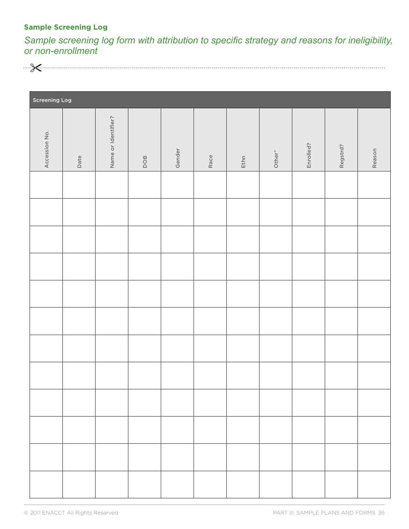### <span id="page-37-0"></span>**Sample Screening Log**

*Sample screening log form with attribution to specific strategy and reasons for ineligibility, or non-enrollment*



| <b>Screening Log</b> |      |                     |     |        |      |      |        |           |          |        |
|----------------------|------|---------------------|-----|--------|------|------|--------|-----------|----------|--------|
| Accession No.        | Date | Name or Identifier? | DOB | Gender | Race | Ethn | Other* | Enrolled? | Regstrd? | Reason |
|                      |      |                     |     |        |      |      |        |           |          |        |
|                      |      |                     |     |        |      |      |        |           |          |        |
|                      |      |                     |     |        |      |      |        |           |          |        |
|                      |      |                     |     |        |      |      |        |           |          |        |
|                      |      |                     |     |        |      |      |        |           |          |        |
|                      |      |                     |     |        |      |      |        |           |          |        |
|                      |      |                     |     |        |      |      |        |           |          |        |
|                      |      |                     |     |        |      |      |        |           |          |        |
|                      |      |                     |     |        |      |      |        |           |          |        |
|                      |      |                     |     |        |      |      |        |           |          |        |
|                      |      |                     |     |        |      |      |        |           |          |        |
|                      |      |                     |     |        |      |      |        |           |          |        |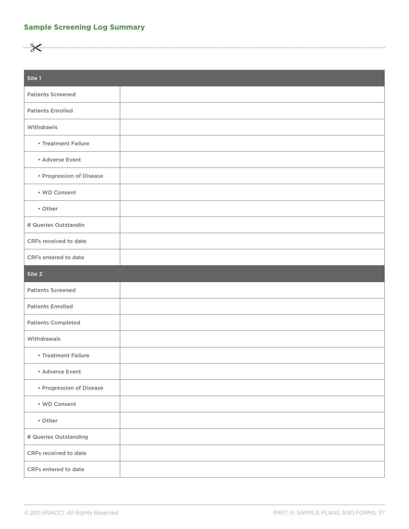### <span id="page-38-0"></span>**Sample Screening Log Summary**

<u> ... Kuunnaanna maanna maanna maanna maanna maanna maanna maanna maanna maanna maanna maanna maanna maanna ma</u>

| Site 1                    |  |
|---------------------------|--|
| <b>Patients Screened</b>  |  |
| <b>Patients Enrolled</b>  |  |
| Withdrawls                |  |
| • Treatment Failure       |  |
| • Adverse Event           |  |
| • Progression of Disease  |  |
| • WD Consent              |  |
| • Other                   |  |
| # Queries Outstandin      |  |
| CRFs received to date     |  |
| CRFs entered to date      |  |
| Site 2                    |  |
| <b>Patients Screened</b>  |  |
| <b>Patients Enrolled</b>  |  |
| <b>Patients Completed</b> |  |
| Withdrawals               |  |
| • Treatment Failure       |  |
| • Adverse Event           |  |
| • Progression of Disease  |  |
| • WD Consent              |  |
| • Other                   |  |
| # Queries Outstanding     |  |
| CRFs received to date     |  |
| CRFs entered to date      |  |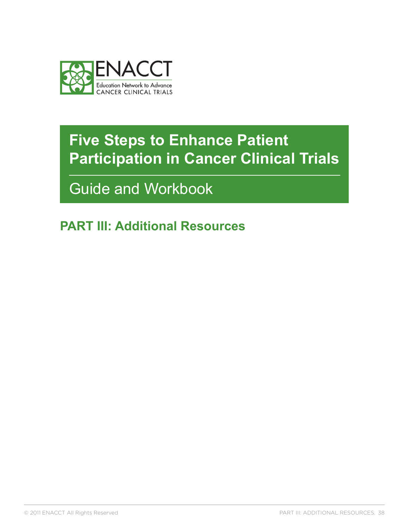<span id="page-39-0"></span>

Guide and Workbook

**PART III: Additional Resources**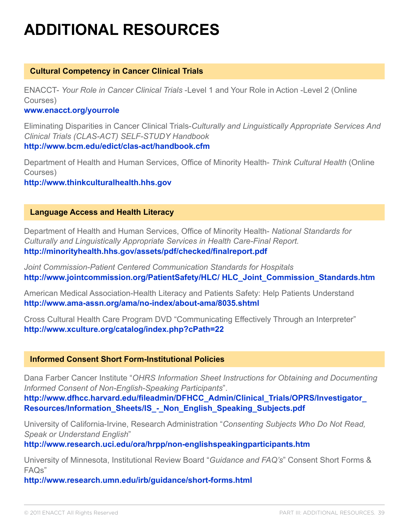# **Additional Resources**

#### **Cultural Competency in Cancer Clinical Trials**

ENACCT- *Your Role in Cancer Clinical Trials* -Level 1 and Your Role in Action -Level 2 (Online Courses)

#### **<www.enacct.org/yourrole>**

Eliminating Disparities in Cancer Clinical Trials-*Culturally and Linguistically Appropriate Services And Clinical Trials (CLAS-ACT) SELF-STUDY Handbook*  **<http://www.bcm.edu/edict/clas-act/handbook.cfm>**

Department of Health and Human Services, Office of Minority Health- *Think Cultural Health* (Online Courses)

**<http://www.thinkculturalhealth.hhs.gov>**

#### **Language Access and Health Literacy**

Department of Health and Human Services, Office of Minority Health- *National Standards for Culturally and Linguistically Appropriate Services in Health Care-Final Report.*  **<http://minorityhealth.hhs.gov/assets/pdf/checked/finalreport.pdf>**

*Joint Commission-Patient Centered Communication Standards for Hospitals* **[http://www.jointcommission.org/PatientSafety/HLC/ HLC\\_Joint\\_Commission\\_Standards.htm](http://www.jointcommission.org/PatientSafety/HLC/ HLC_Joint_Commission_Standards.htm)**

American Medical Association-Health Literacy and Patients Safety: Help Patients Understand **<http://www.ama-assn.org/ama/no-index/about-ama/8035.shtml>**

Cross Cultural Health Care Program DVD "Communicating Effectively Through an Interpreter" **<http://www.xculture.org/catalog/index.php?cPath=22>**

### **Informed Consent Short Form-Institutional Policies**

Dana Farber Cancer Institute "*OHRS Information Sheet Instructions for Obtaining and Documenting Informed Consent of Non-English-Speaking Participants*".

**[http://www.dfhcc.harvard.edu/fileadmin/DFHCC\\_Admin/Clinical\\_Trials/OPRS/Investigator\\_](http://www.dfhcc.harvard.edu/fileadmin/DFHCC_Admin/Clinical_Trials/OPRS/Investigator_Resources/Information_Sheets/IS_-_Non_English_Speaking_Subjects.pdf) [Resources/Information\\_Sheets/IS\\_-\\_Non\\_English\\_Speaking\\_Subjects.pdf](http://www.dfhcc.harvard.edu/fileadmin/DFHCC_Admin/Clinical_Trials/OPRS/Investigator_Resources/Information_Sheets/IS_-_Non_English_Speaking_Subjects.pdf)** 

University of California-Irvine, Research Administration "*Consenting Subjects Who Do Not Read, Speak or Understand English*"

**<http://www.research.uci.edu/ora/hrpp/non-englishspeakingparticipants.htm>** 

University of Minnesota, Institutional Review Board "*Guidance and FAQ's*" Consent Short Forms & FAQs"

**<http://www.research.umn.edu/irb/guidance/short-forms.html>**